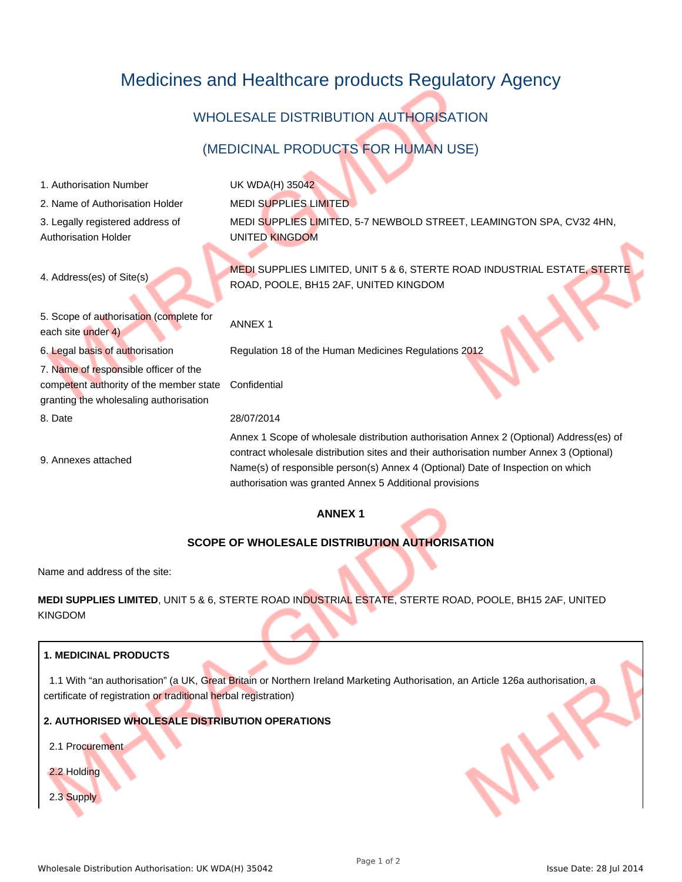# Medicines and Healthcare products Regulatory Agency

# WHOLESALE DISTRIBUTION AUTHORISATION

## (MEDICINAL PRODUCTS FOR HUMAN USE)

| 1. Authorisation Number                                                                                                    | UK WDA(H) 35042                                                                                                                                                                                                                                                       |
|----------------------------------------------------------------------------------------------------------------------------|-----------------------------------------------------------------------------------------------------------------------------------------------------------------------------------------------------------------------------------------------------------------------|
| 2. Name of Authorisation Holder                                                                                            | <b>MEDI SUPPLIES LIMITED</b>                                                                                                                                                                                                                                          |
| 3. Legally registered address of<br><b>Authorisation Holder</b>                                                            | MEDI SUPPLIES LIMITED, 5-7 NEWBOLD STREET, LEAMINGTON SPA, CV32 4HN,<br><b>UNITED KINGDOM</b>                                                                                                                                                                         |
| 4. Address(es) of Site(s)                                                                                                  | MEDI SUPPLIES LIMITED, UNIT 5 & 6, STERTE ROAD INDUSTRIAL ESTATE, STERTE<br>ROAD, POOLE, BH15 2AF, UNITED KINGDOM                                                                                                                                                     |
| 5. Scope of authorisation (complete for<br>each site under 4)                                                              | <b>ANNEX1</b>                                                                                                                                                                                                                                                         |
| 6. Legal basis of authorisation                                                                                            | Regulation 18 of the Human Medicines Regulations 2012                                                                                                                                                                                                                 |
| 7. Name of responsible officer of the<br>competent authority of the member state<br>granting the wholesaling authorisation | Confidential                                                                                                                                                                                                                                                          |
| 8. Date                                                                                                                    | 28/07/2014                                                                                                                                                                                                                                                            |
| 9. Annexes attached                                                                                                        | Annex 1 Scope of wholesale distribution authorisation Annex 2 (Optional) Address(es) of<br>contract wholesale distribution sites and their authorisation number Annex 3 (Optional)<br>Name(s) of responsible person(s) Annex 4 (Optional) Date of Inspection on which |

## **ANNEX 1**

authorisation was granted Annex 5 Additional provisions

### **SCOPE OF WHOLESALE DISTRIBUTION AUTHORISATION**

Name and address of the site:

**MEDI SUPPLIES LIMITED**, UNIT 5 & 6, STERTE ROAD INDUSTRIAL ESTATE, STERTE ROAD, POOLE, BH15 2AF, UNITED KINGDOM

### **1. MEDICINAL PRODUCTS**

1.1 With "an authorisation" (a UK, Great Britain or Northern Ireland Marketing Authorisation, an Article 126a authorisation, a certificate of registration or traditional herbal registration)

## **2. AUTHORISED WHOLESALE DISTRIBUTION OPERATIONS**

2.1 Procurement

2.2 Holding

2.3 Supply